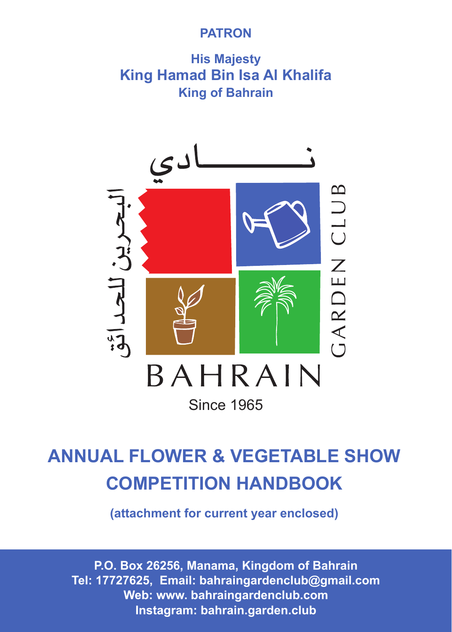# **PATRON**

**His Majesty King Hamad Bin Isa Al Khalifa King of Bahrain**



# **ANNUAL FLOWER & VEGETABLE SHOW COMPETITION HANDBOOK**

**(attachment for current year enclosed)** 

www.bahraingardenclub.com **P.O. Box 26256, Manama, Kingdom of Bahrain Tel: 17727625, Email: bahraingardenclub@gmail.com Web: www. bahraingardenclub.com Instagram: bahrain.garden.club**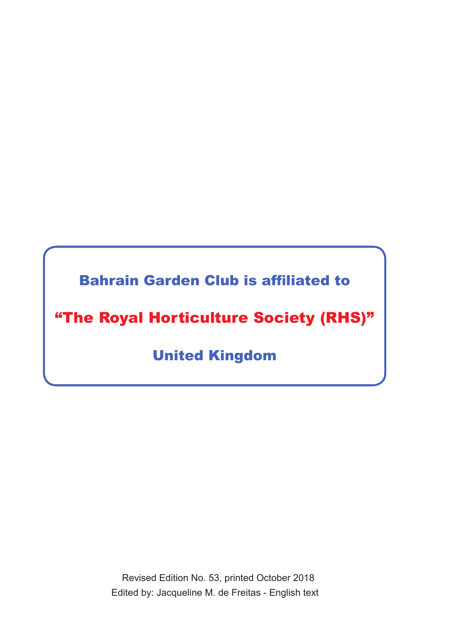Bahrain Garden Club is affiliated to

"The Royal Horticulture Society (RHS)"

United Kingdom

 Revised Edition No. 53, printed October 2018 Edited by: Jacqueline M. de Freitas - English text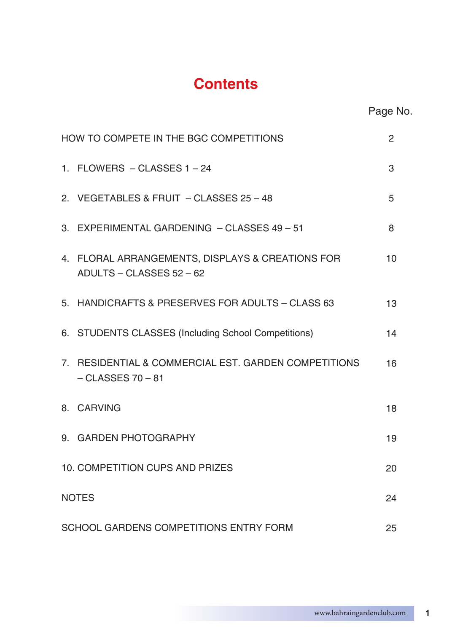# **Contents**

| HOW TO COMPETE IN THE BGC COMPETITIONS<br>2                                   |    |  |
|-------------------------------------------------------------------------------|----|--|
| 1. FLOWERS - CLASSES 1-24                                                     | 3  |  |
| 2. VEGETABLES & FRUIT - CLASSES 25 - 48                                       | 5  |  |
| 3. EXPERIMENTAL GARDENING - CLASSES 49 - 51                                   | 8  |  |
| 4. FLORAL ARRANGEMENTS, DISPLAYS & CREATIONS FOR<br>ADULTS - CLASSES 52 - 62  | 10 |  |
| 5. HANDICRAFTS & PRESERVES FOR ADULTS - CLASS 63                              | 13 |  |
| 6. STUDENTS CLASSES (Including School Competitions)                           | 14 |  |
| 7. RESIDENTIAL & COMMERCIAL EST. GARDEN COMPETITIONS<br>$-$ CLASSES 70 $-$ 81 | 16 |  |
| 8. CARVING                                                                    | 18 |  |
| 9. GARDEN PHOTOGRAPHY                                                         | 19 |  |
| 10. COMPETITION CUPS AND PRIZES                                               | 20 |  |
| <b>NOTES</b><br>24                                                            |    |  |
| SCHOOL GARDENS COMPETITIONS ENTRY FORM<br>25                                  |    |  |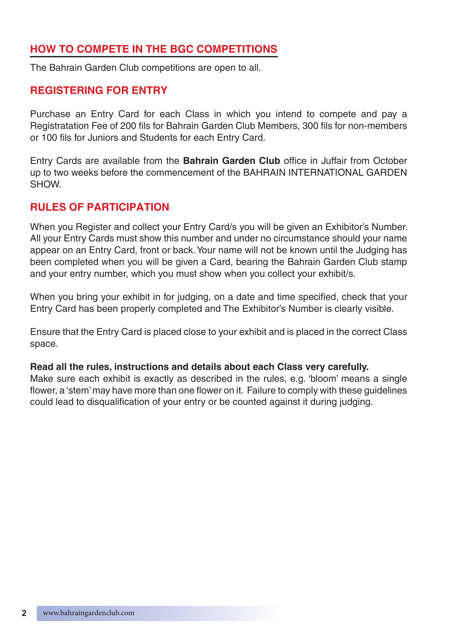# **HOW TO COMPETE IN THE BGC COMPETITIONS**

The Bahrain Garden Club competitions are open to all.

#### **REGISTERING FOR ENTRY**

Purchase an Entry Card for each Class in which you intend to compete and pay a Registratation Fee of 200 fils for Bahrain Garden Club Members, 300 fils for non-members or 100 fils for Juniors and Students for each Entry Card.

Entry Cards are available from the **Bahrain Garden Club** office in Juffair from October up to two weeks before the commencement of the BAHRAIN INTERNATIONAL GARDEN SHOW.

#### **RULES OF PARTICIPATION**

When you Register and collect your Entry Card/s you will be given an Exhibitor's Number. All your Entry Cards must show this number and under no circumstance should your name appear on an Entry Card, front or back. Your name will not be known until the Judging has been completed when you will be given a Card, bearing the Bahrain Garden Club stamp and your entry number, which you must show when you collect your exhibit/s.

When you bring your exhibit in for judging, on a date and time specified, check that your Entry Card has been properly completed and The Exhibitor's Number is clearly visible.

Ensure that the Entry Card is placed close to your exhibit and is placed in the correct Class space.

#### **Read all the rules, instructions and details about each Class very carefully.**

Make sure each exhibit is exactly as described in the rules, e.g. 'bloom' means a single flower, a 'stem' may have more than one flower on it. Failure to comply with these guidelines could lead to disqualification of your entry or be counted against it during judging.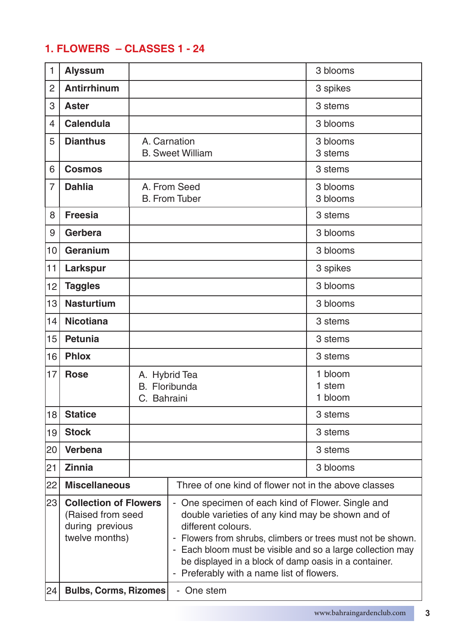# **1. FLOWERS – CLASSES 1 - 24**

| 1              | <b>Alyssum</b>                                                                         |             |                                                                                                                                                                                                                                                                                                                                                                | 3 blooms                     |
|----------------|----------------------------------------------------------------------------------------|-------------|----------------------------------------------------------------------------------------------------------------------------------------------------------------------------------------------------------------------------------------------------------------------------------------------------------------------------------------------------------------|------------------------------|
| $\overline{2}$ | <b>Antirrhinum</b>                                                                     |             |                                                                                                                                                                                                                                                                                                                                                                | 3 spikes                     |
| 3              | Aster                                                                                  |             |                                                                                                                                                                                                                                                                                                                                                                | 3 stems                      |
| 4              | <b>Calendula</b>                                                                       |             |                                                                                                                                                                                                                                                                                                                                                                | 3 blooms                     |
| 5              | <b>Dianthus</b>                                                                        |             | A. Carnation<br><b>B.</b> Sweet William                                                                                                                                                                                                                                                                                                                        | 3 blooms<br>3 stems          |
| 6              | <b>Cosmos</b>                                                                          |             |                                                                                                                                                                                                                                                                                                                                                                | 3 stems                      |
| $\overline{7}$ | <b>Dahlia</b>                                                                          |             | A. From Seed<br><b>B.</b> From Tuber                                                                                                                                                                                                                                                                                                                           | 3 blooms<br>3 blooms         |
| 8              | Freesia                                                                                |             |                                                                                                                                                                                                                                                                                                                                                                | 3 stems                      |
| 9              | Gerbera                                                                                |             |                                                                                                                                                                                                                                                                                                                                                                | 3 blooms                     |
| 10             | Geranium                                                                               |             |                                                                                                                                                                                                                                                                                                                                                                | 3 blooms                     |
| 11             | Larkspur                                                                               |             |                                                                                                                                                                                                                                                                                                                                                                | 3 spikes                     |
| 12             | <b>Taggles</b>                                                                         |             |                                                                                                                                                                                                                                                                                                                                                                | 3 blooms                     |
| 13             | <b>Nasturtium</b>                                                                      |             |                                                                                                                                                                                                                                                                                                                                                                | 3 blooms                     |
| 14             | <b>Nicotiana</b>                                                                       |             |                                                                                                                                                                                                                                                                                                                                                                | 3 stems                      |
| 15             | Petunia                                                                                |             |                                                                                                                                                                                                                                                                                                                                                                | 3 stems                      |
| 16             | <b>Phlox</b>                                                                           |             |                                                                                                                                                                                                                                                                                                                                                                | 3 stems                      |
| 17             | <b>Rose</b>                                                                            | C. Bahraini | A. Hybrid Tea<br>B. Floribunda                                                                                                                                                                                                                                                                                                                                 | 1 bloom<br>1 stem<br>1 bloom |
| 18             | <b>Statice</b>                                                                         |             |                                                                                                                                                                                                                                                                                                                                                                | 3 stems                      |
| 19             | <b>Stock</b>                                                                           |             |                                                                                                                                                                                                                                                                                                                                                                | 3 stems                      |
| 20             | Verbena                                                                                |             |                                                                                                                                                                                                                                                                                                                                                                | 3 stems                      |
| 21             | <b>Zinnia</b>                                                                          |             |                                                                                                                                                                                                                                                                                                                                                                | 3 blooms                     |
| 22             | <b>Miscellaneous</b>                                                                   |             | Three of one kind of flower not in the above classes                                                                                                                                                                                                                                                                                                           |                              |
| 23             | <b>Collection of Flowers</b><br>(Raised from seed<br>during previous<br>twelve months) |             | - One specimen of each kind of Flower. Single and<br>double varieties of any kind may be shown and of<br>different colours.<br>- Flowers from shrubs, climbers or trees must not be shown.<br>- Each bloom must be visible and so a large collection may<br>be displayed in a block of damp oasis in a container.<br>- Preferably with a name list of flowers. |                              |
| 24             | <b>Bulbs, Corms, Rizomes</b>                                                           |             | - One stem                                                                                                                                                                                                                                                                                                                                                     |                              |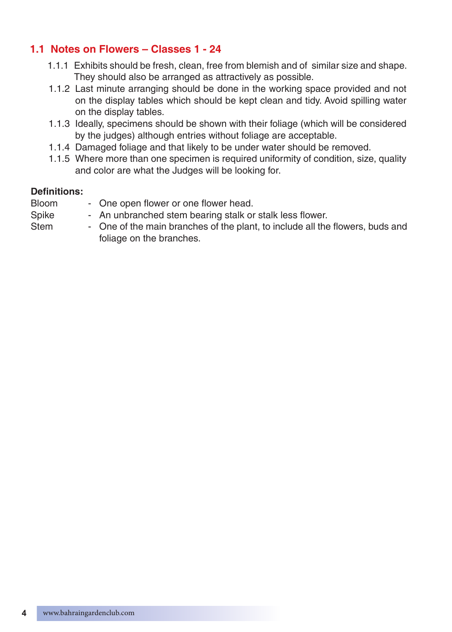# **1.1 Notes on Flowers – Classes 1 - 24**

- 1.1.1 Exhibits should be fresh, clean, free from blemish and of similar size and shape. They should also be arranged as attractively as possible.
- 1.1.2 Last minute arranging should be done in the working space provided and not on the display tables which should be kept clean and tidy. Avoid spilling water on the display tables.
- 1.1.3 Ideally, specimens should be shown with their foliage (which will be considered by the judges) although entries without foliage are acceptable.
- 1.1.4 Damaged foliage and that likely to be under water should be removed.
- 1.1.5 Where more than one specimen is required uniformity of condition, size, quality and color are what the Judges will be looking for.

#### **Definitions:**

Bloom - One open flower or one flower head. Spike - An unbranched stem bearing stalk or stalk less flower. Stem - One of the main branches of the plant, to include all the flowers, buds and foliage on the branches.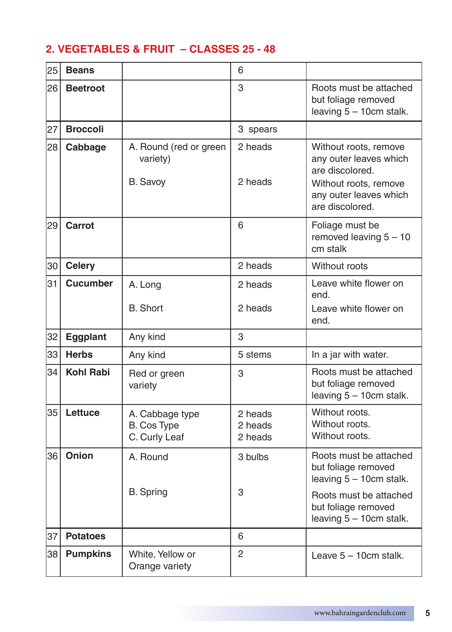# **2. VEGETABLES & FRUIT – CLASSES 25 - 48**

| 25 | <b>Beans</b>     |                                                 | 6                             |                                                                                                                                          |
|----|------------------|-------------------------------------------------|-------------------------------|------------------------------------------------------------------------------------------------------------------------------------------|
| 26 | <b>Beetroot</b>  |                                                 | 3                             | Roots must be attached<br>but foliage removed<br>leaving 5 - 10cm stalk.                                                                 |
| 27 | <b>Broccoli</b>  |                                                 | 3 spears                      |                                                                                                                                          |
| 28 | Cabbage          | A. Round (red or green<br>variety)<br>B. Savoy  | 2 heads<br>2 heads            | Without roots, remove<br>any outer leaves which<br>are discolored.<br>Without roots, remove<br>any outer leaves which<br>are discolored. |
| 29 | Carrot           |                                                 | 6                             | Foliage must be<br>removed leaving $5 - 10$<br>cm stalk                                                                                  |
| 30 | <b>Celery</b>    |                                                 | 2 heads                       | Without roots                                                                                                                            |
| 31 | <b>Cucumber</b>  | A. Long<br><b>B.</b> Short                      | 2 heads<br>2 heads            | Leave white flower on<br>end.<br>Leave white flower on<br>end.                                                                           |
| 32 | Eggplant         | Any kind                                        | 3                             |                                                                                                                                          |
| 33 | <b>Herbs</b>     | Any kind                                        | 5 stems                       | In a jar with water.                                                                                                                     |
| 34 | <b>Kohl Rabi</b> | Red or green<br>variety                         | 3                             | Roots must be attached<br>but foliage removed<br>leaving $5 - 10$ cm stalk.                                                              |
| 35 | Lettuce          | A. Cabbage type<br>B. Cos Type<br>C. Curly Leaf | 2 heads<br>2 heads<br>2 heads | Without roots.<br>Without roots.<br>Without roots.                                                                                       |
| 36 | Onion            | A. Round                                        | 3 bulbs                       | Roots must be attached<br>but foliage removed<br>leaving $5 - 10$ cm stalk.                                                              |
|    |                  | <b>B.</b> Spring                                | 3                             | Roots must be attached<br>but foliage removed<br>leaving 5 - 10cm stalk.                                                                 |
| 37 | <b>Potatoes</b>  |                                                 | 6                             |                                                                                                                                          |
| 38 | <b>Pumpkins</b>  | White, Yellow or<br>Orange variety              | 2                             | Leave $5 - 10$ cm stalk.                                                                                                                 |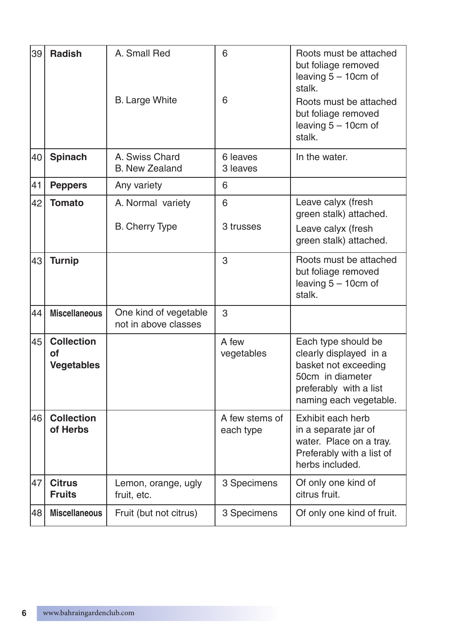| 39 | <b>Radish</b>                                | A. Small Red<br><b>B.</b> Large White         | 6<br>6                      | Roots must be attached<br>but foliage removed<br>leaving 5 - 10cm of<br>stalk.<br>Roots must be attached<br>but foliage removed<br>leaving $5 - 10$ cm of<br>stalk. |
|----|----------------------------------------------|-----------------------------------------------|-----------------------------|---------------------------------------------------------------------------------------------------------------------------------------------------------------------|
| 40 | Spinach                                      | A. Swiss Chard<br><b>B.</b> New Zealand       | 6 leaves<br>3 leaves        | In the water.                                                                                                                                                       |
| 41 | <b>Peppers</b>                               | Any variety                                   | 6                           |                                                                                                                                                                     |
| 42 | <b>Tomato</b>                                | A. Normal variety<br>B. Cherry Type           | 6<br>3 trusses              | Leave calyx (fresh<br>green stalk) attached.<br>Leave calyx (fresh<br>green stalk) attached.                                                                        |
| 43 | <b>Turnip</b>                                |                                               | 3                           | Roots must be attached<br>but foliage removed<br>leaving 5 - 10cm of<br>stalk.                                                                                      |
| 44 | <b>Miscellaneous</b>                         | One kind of vegetable<br>not in above classes | 3                           |                                                                                                                                                                     |
| 45 | <b>Collection</b><br>of<br><b>Vegetables</b> |                                               | A few<br>vegetables         | Each type should be<br>clearly displayed in a<br>basket not exceeding<br>50cm in diameter<br>preferably with a list<br>naming each vegetable.                       |
| 46 | <b>Collection</b><br>of Herbs                |                                               | A few stems of<br>each type | Exhibit each herb<br>in a separate jar of<br>water. Place on a tray.<br>Preferably with a list of<br>herbs included.                                                |
| 47 | <b>Citrus</b><br><b>Fruits</b>               | Lemon, orange, ugly<br>fruit, etc.            | 3 Specimens                 | Of only one kind of<br>citrus fruit.                                                                                                                                |
| 48 | <b>Miscellaneous</b>                         | Fruit (but not citrus)                        | 3 Specimens                 | Of only one kind of fruit.                                                                                                                                          |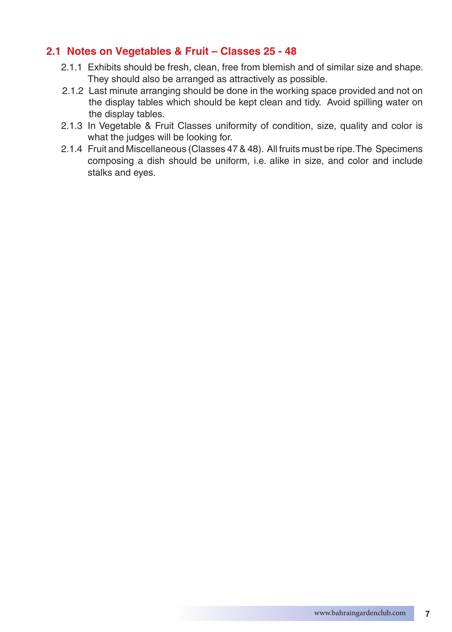### **2.1 Notes on Vegetables & Fruit – Classes 25 - 48**

- 2.1.1 Exhibits should be fresh, clean, free from blemish and of similar size and shape. They should also be arranged as attractively as possible.
- 2.1.2 Last minute arranging should be done in the working space provided and not on the display tables which should be kept clean and tidy. Avoid spilling water on the display tables.
- 2.1.3 In Vegetable & Fruit Classes uniformity of condition, size, quality and color is what the judges will be looking for.
- 2.1.4 Fruit and Miscellaneous (Classes 47 & 48). All fruits must be ripe. The Specimens composing a dish should be uniform, i.e. alike in size, and color and include stalks and eyes.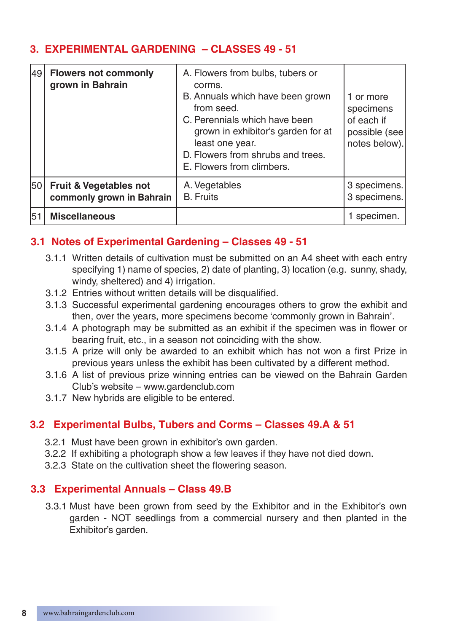# **3. EXPERIMENTAL GARDENING – CLASSES 49 - 51**

| 49 | <b>Flowers not commonly</b><br>grown in Bahrain                | A. Flowers from bulbs, tubers or<br>corms.<br>B. Annuals which have been grown<br>from seed.<br>C. Perennials which have been<br>grown in exhibitor's garden for at<br>least one year.<br>D. Flowers from shrubs and trees.<br>E. Flowers from climbers. | 1 or more<br>specimens<br>of each if<br>possible (see)<br>notes below). |
|----|----------------------------------------------------------------|----------------------------------------------------------------------------------------------------------------------------------------------------------------------------------------------------------------------------------------------------------|-------------------------------------------------------------------------|
| 50 | <b>Fruit &amp; Vegetables not</b><br>commonly grown in Bahrain | A. Vegetables<br><b>B.</b> Fruits                                                                                                                                                                                                                        | 3 specimens.<br>3 specimens.                                            |
| 51 | <b>Miscellaneous</b>                                           |                                                                                                                                                                                                                                                          | 1 specimen.                                                             |

# **3.1 Notes of Experimental Gardening – Classes 49 - 51**

- 3.1.1 Written details of cultivation must be submitted on an A4 sheet with each entry specifying 1) name of species, 2) date of planting, 3) location (e.g. sunny, shady, windy, sheltered) and 4) irrigation.
- 3.1.2 Entries without written details will be disqualified.
- 3.1.3 Successful experimental gardening encourages others to grow the exhibit and then, over the years, more specimens become 'commonly grown in Bahrain'.
- 3.1.4 A photograph may be submitted as an exhibit if the specimen was in flower or bearing fruit, etc., in a season not coinciding with the show.
- 3.1.5 A prize will only be awarded to an exhibit which has not won a first Prize in previous years unless the exhibit has been cultivated by a different method.
- 3.1.6 A list of previous prize winning entries can be viewed on the Bahrain Garden Club's website – www.gardenclub.com
- 3.1.7 New hybrids are eligible to be entered.

# **3.2 Experimental Bulbs, Tubers and Corms – Classes 49.A & 51**

- 3.2.1 Must have been grown in exhibitor's own garden.
- 3.2.2 If exhibiting a photograph show a few leaves if they have not died down.
- 3.2.3 State on the cultivation sheet the flowering season.

# **3.3 Experimental Annuals – Class 49.B**

3.3.1 Must have been grown from seed by the Exhibitor and in the Exhibitor's own garden - NOT seedlings from a commercial nursery and then planted in the Exhibitor's garden.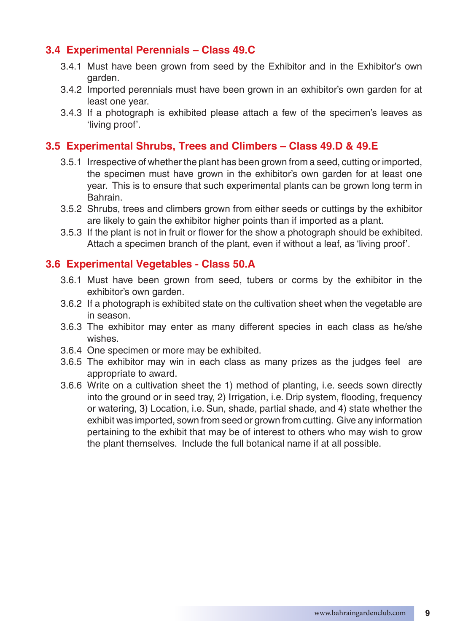# **3.4 Experimental Perennials – Class 49.C**

- 3.4.1 Must have been grown from seed by the Exhibitor and in the Exhibitor's own garden.
- 3.4.2 Imported perennials must have been grown in an exhibitor's own garden for at least one year.
- 3.4.3 If a photograph is exhibited please attach a few of the specimen's leaves as 'living proof'.

#### **3.5 Experimental Shrubs, Trees and Climbers – Class 49.D & 49.E**

- 3.5.1 Irrespective of whether the plant has been grown from a seed, cutting or imported, the specimen must have grown in the exhibitor's own garden for at least one year. This is to ensure that such experimental plants can be grown long term in Bahrain.
- 3.5.2 Shrubs, trees and climbers grown from either seeds or cuttings by the exhibitor are likely to gain the exhibitor higher points than if imported as a plant.
- 3.5.3 If the plant is not in fruit or flower for the show a photograph should be exhibited. Attach a specimen branch of the plant, even if without a leaf, as 'living proof'.

#### **3.6 Experimental Vegetables - Class 50.A**

- 3.6.1 Must have been grown from seed, tubers or corms by the exhibitor in the exhibitor's own garden.
- 3.6.2 If a photograph is exhibited state on the cultivation sheet when the vegetable are in season.
- 3.6.3 The exhibitor may enter as many different species in each class as he/she wishes.
- 3.6.4 One specimen or more may be exhibited.
- 3.6.5 The exhibitor may win in each class as many prizes as the judges feel are appropriate to award.
- 3.6.6 Write on a cultivation sheet the 1) method of planting, i.e. seeds sown directly into the ground or in seed tray, 2) Irrigation, i.e. Drip system, flooding, frequency or watering, 3) Location, i.e. Sun, shade, partial shade, and 4) state whether the exhibit was imported, sown from seed or grown from cutting. Give any information pertaining to the exhibit that may be of interest to others who may wish to grow the plant themselves. Include the full botanical name if at all possible.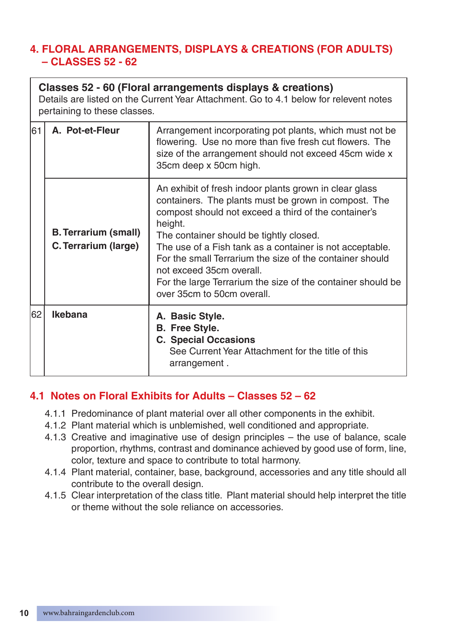# **4. FLORAL ARRANGEMENTS, DISPLAYS & CREATIONS (FOR ADULTS) – CLASSES 52 - 62**

|    | Classes 52 - 60 (Floral arrangements displays & creations)<br>Details are listed on the Current Year Attachment. Go to 4.1 below for relevent notes<br>pertaining to these classes. |                                                                                                                                                                                                                                                                                                                                                                                                                                                                               |  |
|----|-------------------------------------------------------------------------------------------------------------------------------------------------------------------------------------|-------------------------------------------------------------------------------------------------------------------------------------------------------------------------------------------------------------------------------------------------------------------------------------------------------------------------------------------------------------------------------------------------------------------------------------------------------------------------------|--|
| 61 | A. Pot-et-Fleur                                                                                                                                                                     | Arrangement incorporating pot plants, which must not be<br>flowering. Use no more than five fresh cut flowers. The<br>size of the arrangement should not exceed 45cm wide x<br>35cm deep x 50cm high.                                                                                                                                                                                                                                                                         |  |
|    | <b>B. Terrarium (small)</b><br>C. Terrarium (large)                                                                                                                                 | An exhibit of fresh indoor plants grown in clear glass<br>containers. The plants must be grown in compost. The<br>compost should not exceed a third of the container's<br>height.<br>The container should be tightly closed.<br>The use of a Fish tank as a container is not acceptable.<br>For the small Terrarium the size of the container should<br>not exceed 35cm overall.<br>For the large Terrarium the size of the container should be<br>over 35cm to 50cm overall. |  |
| 62 | Ikebana                                                                                                                                                                             | A. Basic Style.<br><b>B.</b> Free Style.<br><b>C. Special Occasions</b><br>See Current Year Attachment for the title of this<br>arrangement.                                                                                                                                                                                                                                                                                                                                  |  |

# **4.1 Notes on Floral Exhibits for Adults – Classes 52 – 62**

- 4.1.1 Predominance of plant material over all other components in the exhibit.
- 4.1.2 Plant material which is unblemished, well conditioned and appropriate.
- 4.1.3 Creative and imaginative use of design principles the use of balance, scale proportion, rhythms, contrast and dominance achieved by good use of form, line, color, texture and space to contribute to total harmony.
- 4.1.4 Plant material, container, base, background, accessories and any title should all contribute to the overall design.
- 4.1.5 Clear interpretation of the class title. Plant material should help interpret the title or theme without the sole reliance on accessories.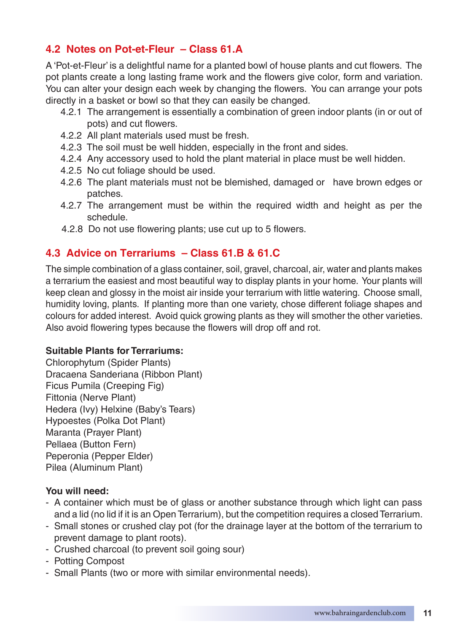# **4.2 Notes on Pot-et-Fleur – Class 61.A**

A 'Pot-et-Fleur' is a delightful name for a planted bowl of house plants and cut flowers. The pot plants create a long lasting frame work and the flowers give color, form and variation. You can alter your design each week by changing the flowers. You can arrange your pots directly in a basket or bowl so that they can easily be changed.

- 4.2.1 The arrangement is essentially a combination of green indoor plants (in or out of pots) and cut flowers.
- 4.2.2 All plant materials used must be fresh.
- 4.2.3 The soil must be well hidden, especially in the front and sides.
- 4.2.4 Any accessory used to hold the plant material in place must be well hidden.
- 4.2.5 No cut foliage should be used.
- 4.2.6 The plant materials must not be blemished, damaged or have brown edges or patches.
- 4.2.7 The arrangement must be within the required width and height as per the schedule.
- 4.2.8 Do not use flowering plants; use cut up to 5 flowers.

# **4.3 Advice on Terrariums – Class 61.B & 61.C**

The simple combination of a glass container, soil, gravel, charcoal, air, water and plants makes a terrarium the easiest and most beautiful way to display plants in your home. Your plants will keep clean and glossy in the moist air inside your terrarium with little watering. Choose small, humidity loving, plants. If planting more than one variety, chose different foliage shapes and colours for added interest. Avoid quick growing plants as they will smother the other varieties. Also avoid flowering types because the flowers will drop off and rot.

#### **Suitable Plants for Terrariums:**

Chlorophytum (Spider Plants) Dracaena Sanderiana (Ribbon Plant) Ficus Pumila (Creeping Fig) Fittonia (Nerve Plant) Hedera (Ivy) Helxine (Baby's Tears) Hypoestes (Polka Dot Plant) Maranta (Prayer Plant) Pellaea (Button Fern) Peperonia (Pepper Elder) Pilea (Aluminum Plant)

#### **You will need:**

- A container which must be of glass or another substance through which light can pass and a lid (no lid if it is an Open Terrarium), but the competition requires a closed Terrarium.
- Small stones or crushed clay pot (for the drainage layer at the bottom of the terrarium to prevent damage to plant roots).
- Crushed charcoal (to prevent soil going sour)
- Potting Compost
- Small Plants (two or more with similar environmental needs).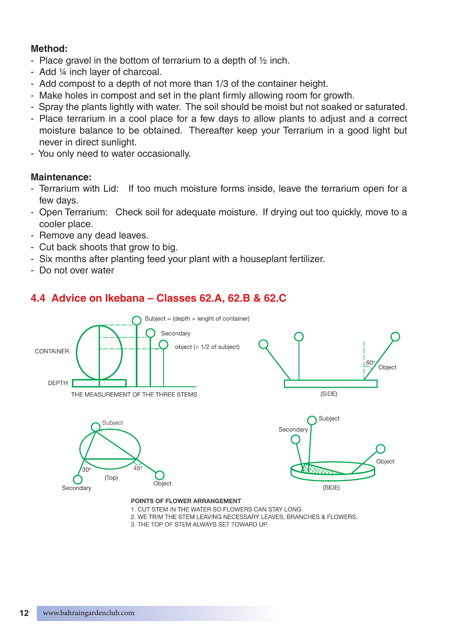#### **Method:**

- Place gravel in the bottom of terrarium to a depth of ½ inch.
- Add ¼ inch layer of charcoal.
- Add compost to a depth of not more than 1/3 of the container height.
- Make holes in compost and set in the plant firmly allowing room for growth.
- Spray the plants lightly with water. The soil should be moist but not soaked or saturated.
- Place terrarium in a cool place for a few days to allow plants to adjust and a correct moisture balance to be obtained. Thereafter keep your Terrarium in a good light but never in direct sunlight.
- You only need to water occasionally.

#### **Maintenance:**

- Terrarium with Lid: If too much moisture forms inside, leave the terrarium open for a few days.
- Open Terrarium: Check soil for adequate moisture. If drying out too quickly, move to a cooler place.
- Remove any dead leaves.
- Cut back shoots that grow to big.
- Six months after planting feed your plant with a houseplant fertilizer.
- Do not over water

# **4.4 Advice on Ikebana – Classes 62.A, 62.B & 62.C**



- 2. WE TRIM THE STEM LEAVING NECESSARY LEAVES, BRANCHES & FLOWERS.
- 3. THE TOP OF STEM ALWAYS SET TOWARD UP.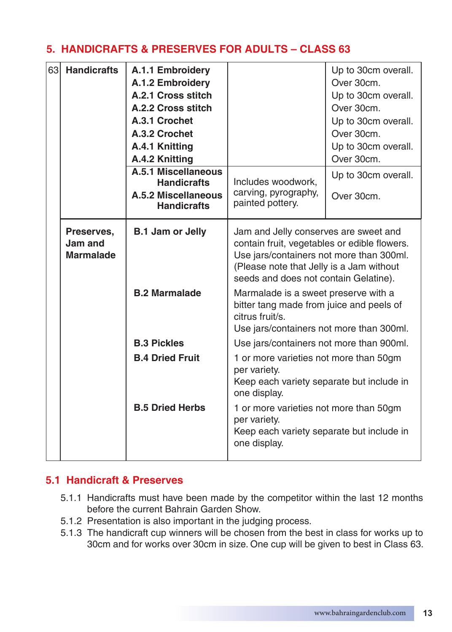# **5. HANDICRAFTS & PRESERVES FOR ADULTS – CLASS 63**

| 63 | <b>Handicrafts</b>                        | A.1.1 Embroidery<br>A.1.2 Embroidery<br>A.2.1 Cross stitch<br>A.2.2 Cross stitch<br>A.3.1 Crochet<br>A.3.2 Crochet<br>A.4.1 Knitting<br>A.4.2 Knitting |                                                                                                                                                                                                                                                                                                                                                                           | Up to 30cm overall.<br>Over 30cm.<br>Up to 30cm overall.<br>Over 30cm.<br>Up to 30cm overall.<br>Over 30cm.<br>Up to 30cm overall.<br>Over 30cm. |
|----|-------------------------------------------|--------------------------------------------------------------------------------------------------------------------------------------------------------|---------------------------------------------------------------------------------------------------------------------------------------------------------------------------------------------------------------------------------------------------------------------------------------------------------------------------------------------------------------------------|--------------------------------------------------------------------------------------------------------------------------------------------------|
|    |                                           | A.5.1 Miscellaneous<br><b>Handicrafts</b><br>A.5.2 Miscellaneous<br><b>Handicrafts</b>                                                                 | Includes woodwork.<br>carving, pyrography,<br>painted pottery.                                                                                                                                                                                                                                                                                                            | Up to 30cm overall.<br>Over 30cm.                                                                                                                |
|    | Preserves,<br>Jam and<br><b>Marmalade</b> | <b>B.1 Jam or Jelly</b><br><b>B.2 Marmalade</b>                                                                                                        | Jam and Jelly conserves are sweet and<br>contain fruit, vegetables or edible flowers.<br>Use jars/containers not more than 300ml.<br>(Please note that Jelly is a Jam without<br>seeds and does not contain Gelatine).<br>Marmalade is a sweet preserve with a<br>bitter tang made from juice and peels of<br>citrus fruit/s.<br>Use jars/containers not more than 300ml. |                                                                                                                                                  |
|    |                                           | <b>B.3 Pickles</b>                                                                                                                                     | Use jars/containers not more than 900ml.                                                                                                                                                                                                                                                                                                                                  |                                                                                                                                                  |
|    |                                           | <b>B.4 Dried Fruit</b><br><b>B.5 Dried Herbs</b>                                                                                                       | 1 or more varieties not more than 50gm<br>per variety.<br>Keep each variety separate but include in<br>one display.<br>1 or more varieties not more than 50gm                                                                                                                                                                                                             |                                                                                                                                                  |
|    |                                           |                                                                                                                                                        | per variety.<br>Keep each variety separate but include in<br>one display.                                                                                                                                                                                                                                                                                                 |                                                                                                                                                  |

# **5.1 Handicraft & Preserves**

- 5.1.1 Handicrafts must have been made by the competitor within the last 12 months before the current Bahrain Garden Show.
- 5.1.2 Presentation is also important in the judging process.
- 5.1.3 The handicraft cup winners will be chosen from the best in class for works up to 30cm and for works over 30cm in size. One cup will be given to best in Class 63.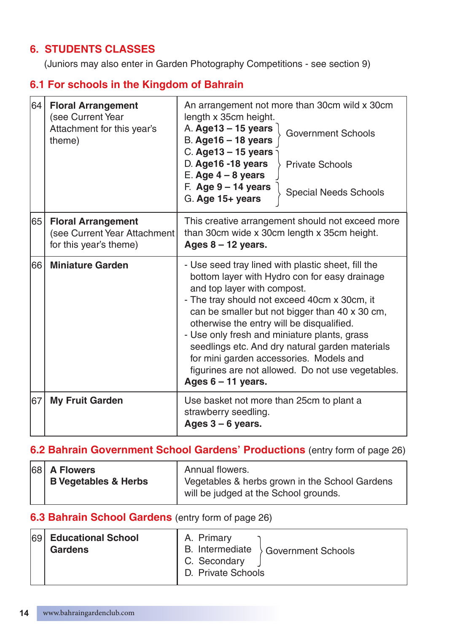# **6. STUDENTS CLASSES**

(Juniors may also enter in Garden Photography Competitions - see section 9)

# **6.1 For schools in the Kingdom of Bahrain**

| 64 | <b>Floral Arrangement</b><br>(see Current Year<br>Attachment for this year's<br>theme) | An arrangement not more than 30cm wild x 30cm<br>length x 35cm height.<br>A. Age13 - 15 years<br><b>Government Schools</b><br>$B.$ Age $16 - 18$ years<br>C. Age $13 - 15$ years<br>D. Age16 -18 years<br><b>Private Schools</b><br>$E.$ Age $4 - 8$ years<br>$F.$ Age 9 – 14 years<br>Special Needs Schools<br>G. Age 15+ years                                                                                                                                                                             |  |
|----|----------------------------------------------------------------------------------------|--------------------------------------------------------------------------------------------------------------------------------------------------------------------------------------------------------------------------------------------------------------------------------------------------------------------------------------------------------------------------------------------------------------------------------------------------------------------------------------------------------------|--|
| 65 | <b>Floral Arrangement</b><br>(see Current Year Attachment<br>for this year's theme)    | This creative arrangement should not exceed more<br>than 30cm wide x 30cm length x 35cm height.<br>Ages $8 - 12$ years.                                                                                                                                                                                                                                                                                                                                                                                      |  |
| 66 | <b>Miniature Garden</b>                                                                | - Use seed tray lined with plastic sheet, fill the<br>bottom layer with Hydro con for easy drainage<br>and top layer with compost.<br>- The tray should not exceed 40cm x 30cm, it<br>can be smaller but not bigger than 40 x 30 cm,<br>otherwise the entry will be disqualified.<br>- Use only fresh and miniature plants, grass<br>seedlings etc. And dry natural garden materials<br>for mini garden accessories. Models and<br>figurines are not allowed. Do not use vegetables.<br>Ages $6 - 11$ years. |  |
| 67 | <b>My Fruit Garden</b>                                                                 | Use basket not more than 25cm to plant a<br>strawberry seedling.<br>Ages $3 - 6$ years.                                                                                                                                                                                                                                                                                                                                                                                                                      |  |

# **6.2 Bahrain Government School Gardens' Productions** (entry form of page 26)

|  | $ 68 $ A Flowers<br><b>B Vegetables &amp; Herbs</b> | Annual flowers.<br>Vegetables & herbs grown in the School Gardens<br>will be judged at the School grounds. |
|--|-----------------------------------------------------|------------------------------------------------------------------------------------------------------------|
|  |                                                     |                                                                                                            |

# **6.3 Bahrain School Gardens** (entry form of page 26)

| 69 | <b>Educational School</b> | A. Primary         |                           |
|----|---------------------------|--------------------|---------------------------|
|    | Gardens                   | B. Intermediate    | <b>Government Schools</b> |
|    |                           | C. Secondary       |                           |
|    |                           | D. Private Schools |                           |
|    |                           |                    |                           |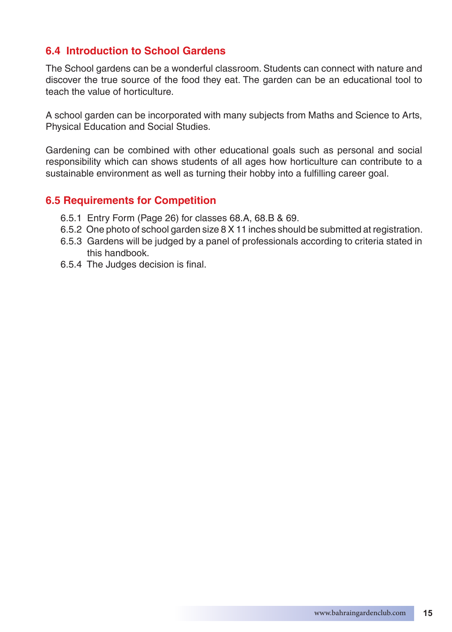### **6.4 Introduction to School Gardens**

The School gardens can be a wonderful classroom. Students can connect with nature and discover the true source of the food they eat. The garden can be an educational tool to teach the value of horticulture.

A school garden can be incorporated with many subjects from Maths and Science to Arts, Physical Education and Social Studies.

Gardening can be combined with other educational goals such as personal and social responsibility which can shows students of all ages how horticulture can contribute to a sustainable environment as well as turning their hobby into a fulfilling career goal.

#### **6.5 Requirements for Competition**

- 6.5.1 Entry Form (Page 26) for classes 68.A, 68.B & 69.
- 6.5.2 One photo of school garden size 8 X 11 inches should be submitted at registration.
- 6.5.3 Gardens will be judged by a panel of professionals according to criteria stated in this handbook.
- 6.5.4 The Judges decision is final.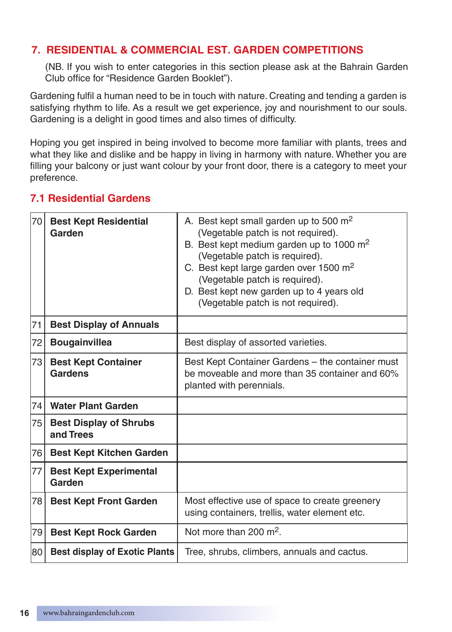# **7. RESIDENTIAL & COMMERCIAL EST. GARDEN COMPETITIONS**

(NB. If you wish to enter categories in this section please ask at the Bahrain Garden Club office for "Residence Garden Booklet").

Gardening fulfil a human need to be in touch with nature. Creating and tending a garden is satisfying rhythm to life. As a result we get experience, joy and nourishment to our souls. Gardening is a delight in good times and also times of difficulty.

Hoping you get inspired in being involved to become more familiar with plants, trees and what they like and dislike and be happy in living in harmony with nature. Whether you are filling your balcony or just want colour by your front door, there is a category to meet your preference.

# **7.1 Residential Gardens**

| 70 | <b>Best Kept Residential</b><br>Garden       | A. Best kept small garden up to 500 $m2$<br>(Vegetable patch is not required).<br>B. Best kept medium garden up to 1000 $m2$<br>(Vegetable patch is required).<br>C. Best kept large garden over 1500 m <sup>2</sup> |  |
|----|----------------------------------------------|----------------------------------------------------------------------------------------------------------------------------------------------------------------------------------------------------------------------|--|
|    |                                              | (Vegetable patch is required).<br>D. Best kept new garden up to 4 years old<br>(Vegetable patch is not required).                                                                                                    |  |
| 71 | <b>Best Display of Annuals</b>               |                                                                                                                                                                                                                      |  |
| 72 | <b>Bougainvillea</b>                         | Best display of assorted varieties.                                                                                                                                                                                  |  |
| 73 | <b>Best Kept Container</b><br><b>Gardens</b> | Best Kept Container Gardens - the container must<br>be moveable and more than 35 container and 60%<br>planted with perennials.                                                                                       |  |
| 74 | <b>Water Plant Garden</b>                    |                                                                                                                                                                                                                      |  |
| 75 | <b>Best Display of Shrubs</b><br>and Trees   |                                                                                                                                                                                                                      |  |
| 76 | <b>Best Kept Kitchen Garden</b>              |                                                                                                                                                                                                                      |  |
| 77 | <b>Best Kept Experimental</b><br>Garden      |                                                                                                                                                                                                                      |  |
| 78 | <b>Best Kept Front Garden</b>                | Most effective use of space to create greenery<br>using containers, trellis, water element etc.                                                                                                                      |  |
| 79 | <b>Best Kept Rock Garden</b>                 | Not more than 200 $m^2$ .                                                                                                                                                                                            |  |
| 80 | <b>Best display of Exotic Plants</b>         | Tree, shrubs, climbers, annuals and cactus.                                                                                                                                                                          |  |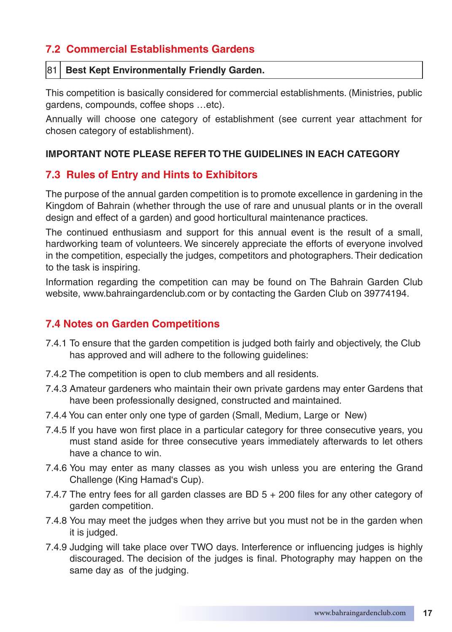# **7.2 Commercial Establishments Gardens**

#### 81 **Best Kept Environmentally Friendly Garden.**

This competition is basically considered for commercial establishments. (Ministries, public gardens, compounds, coffee shops …etc).

Annually will choose one category of establishment (see current year attachment for chosen category of establishment).

#### **IMPORTANT NOTE PLEASE REFER TO THE GUIDELINES IN EACH CATEGORY**

#### **7.3 Rules of Entry and Hints to Exhibitors**

The purpose of the annual garden competition is to promote excellence in gardening in the Kingdom of Bahrain (whether through the use of rare and unusual plants or in the overall design and effect of a garden) and good horticultural maintenance practices.

The continued enthusiasm and support for this annual event is the result of a small, hardworking team of volunteers. We sincerely appreciate the efforts of everyone involved in the competition, especially the judges, competitors and photographers. Their dedication to the task is inspiring.

Information regarding the competition can may be found on The Bahrain Garden Club website, www.bahraingardenclub.com or by contacting the Garden Club on 39774194.

#### **7.4 Notes on Garden Competitions**

- 7.4.1 To ensure that the garden competition is judged both fairly and objectively, the Club has approved and will adhere to the following guidelines:
- 7.4.2 The competition is open to club members and all residents.
- 7.4.3 Amateur gardeners who maintain their own private gardens may enter Gardens that have been professionally designed, constructed and maintained.
- 7.4.4 You can enter only one type of garden (Small, Medium, Large or New)
- 7.4.5 If you have won first place in a particular category for three consecutive years, you must stand aside for three consecutive years immediately afterwards to let others have a chance to win.
- 7.4.6 You may enter as many classes as you wish unless you are entering the Grand Challenge (King Hamad's Cup).
- 7.4.7 The entry fees for all garden classes are BD 5 + 200 files for any other category of garden competition.
- 7.4.8 You may meet the judges when they arrive but you must not be in the garden when it is judged.
- 7.4.9 Judging will take place over TWO days. Interference or influencing judges is highly discouraged. The decision of the judges is final. Photography may happen on the same day as of the judging.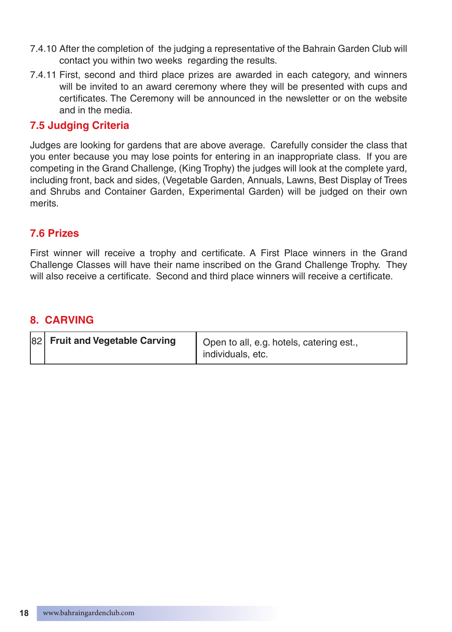- 7.4.10 After the completion of the judging a representative of the Bahrain Garden Club will contact you within two weeks regarding the results.
- 7.4.11 First, second and third place prizes are awarded in each category, and winners will be invited to an award ceremony where they will be presented with cups and certificates. The Ceremony will be announced in the newsletter or on the website and in the media.

# **7.5 Judging Criteria**

Judges are looking for gardens that are above average. Carefully consider the class that you enter because you may lose points for entering in an inappropriate class. If you are competing in the Grand Challenge, (King Trophy) the judges will look at the complete yard, including front, back and sides, (Vegetable Garden, Annuals, Lawns, Best Display of Trees and Shrubs and Container Garden, Experimental Garden) will be judged on their own merits.

# **7.6 Prizes**

First winner will receive a trophy and certificate. A First Place winners in the Grand Challenge Classes will have their name inscribed on the Grand Challenge Trophy. They will also receive a certificate. Second and third place winners will receive a certificate.

# **8. CARVING**

| 82 Fruit and Vegetable Carving | Open to all, e.g. hotels, catering est., |
|--------------------------------|------------------------------------------|
|                                | individuals, etc.                        |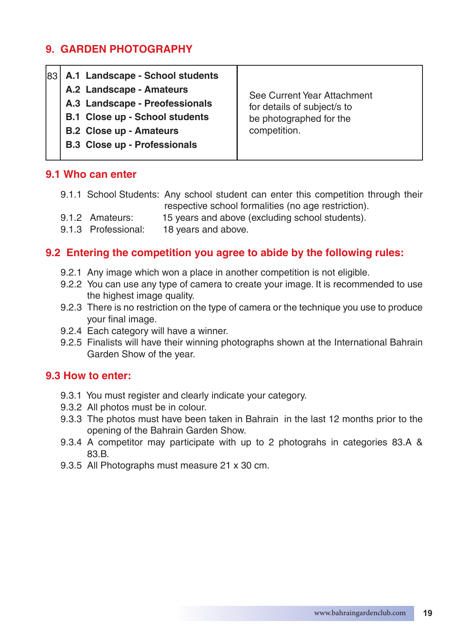# **9. GARDEN PHOTOGRAPHY**

|  | 83 A.1 Landscape - School students<br>A.2 Landscape - Amateurs<br>A.3 Landscape - Preofessionals<br><b>B.1 Close up - School students</b><br><b>B.2 Close up - Amateurs</b><br><b>B.3 Close up - Professionals</b> | See Current Year Attachment<br>for details of subject/s to<br>be photographed for the<br>competition. |
|--|--------------------------------------------------------------------------------------------------------------------------------------------------------------------------------------------------------------------|-------------------------------------------------------------------------------------------------------|
|--|--------------------------------------------------------------------------------------------------------------------------------------------------------------------------------------------------------------------|-------------------------------------------------------------------------------------------------------|

# **9.1 Who can enter**

- 9.1.1 School Students: Any school student can enter this competition through their respective school formalities (no age restriction).
- 9.1.2 Amateurs: 15 years and above (excluding school students).
- 9.1.3 Professional: 18 years and above.

# **9.2 Entering the competition you agree to abide by the following rules:**

- 9.2.1 Any image which won a place in another competition is not eligible.
- 9.2.2 You can use any type of camera to create your image. It is recommended to use the highest image quality.
- 9.2.3 There is no restriction on the type of camera or the technique you use to produce your final image.
- 9.2.4 Each category will have a winner.
- 9.2.5 Finalists will have their winning photographs shown at the International Bahrain Garden Show of the year.

#### **9.3 How to enter:**

- 9.3.1 You must register and clearly indicate your category.
- 9.3.2 All photos must be in colour.
- 9.3.3 The photos must have been taken in Bahrain in the last 12 months prior to the opening of the Bahrain Garden Show.
- 9.3.4 A competitor may participate with up to 2 photograhs in categories 83.A & 83.B.
- 9.3.5 All Photographs must measure 21 x 30 cm.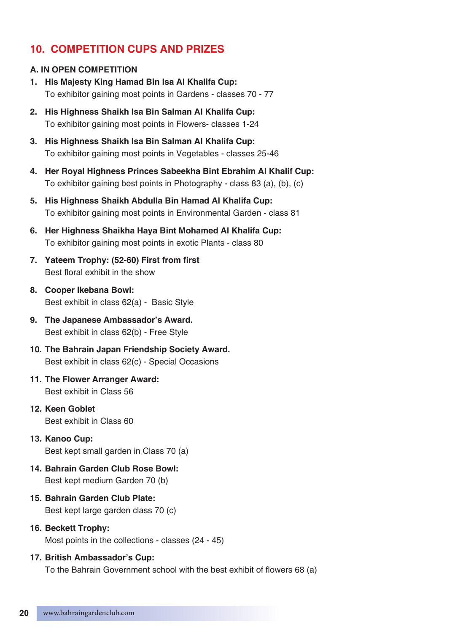# **10. COMPETITION CUPS AND PRIZES**

#### **A. IN OPEN COMPETITION**

- **1. His Majesty King Hamad Bin Isa Al Khalifa Cup:** To exhibitor gaining most points in Gardens - classes 70 - 77
- **2. His Highness Shaikh Isa Bin Salman Al Khalifa Cup:** To exhibitor gaining most points in Flowers- classes 1-24
- **3. His Highness Shaikh Isa Bin Salman Al Khalifa Cup:** To exhibitor gaining most points in Vegetables - classes 25-46
- **4. Her Royal Highness Princes Sabeekha Bint Ebrahim Al Khalif Cup:** To exhibitor gaining best points in Photography - class 83 (a), (b), (c)
- **5. His Highness Shaikh Abdulla Bin Hamad Al Khalifa Cup:** To exhibitor gaining most points in Environmental Garden - class 81
- **6. Her Highness Shaikha Haya Bint Mohamed Al Khalifa Cup:** To exhibitor gaining most points in exotic Plants - class 80
- **7. Yateem Trophy: (52-60) First from first** Best floral exhibit in the show
- **8. Cooper Ikebana Bowl:** Best exhibit in class 62(a) - Basic Style
- **9. The Japanese Ambassador's Award.** Best exhibit in class 62(b) - Free Style
- **10. The Bahrain Japan Friendship Society Award.** Best exhibit in class 62(c) - Special Occasions
- **11. The Flower Arranger Award:** Best exhibit in Class 56
- **12. Keen Goblet**  Best exhibit in Class 60
- **13. Kanoo Cup:** Best kept small garden in Class 70 (a)
- **14. Bahrain Garden Club Rose Bowl:** Best kept medium Garden 70 (b)
- **15. Bahrain Garden Club Plate:** Best kept large garden class 70 (c)
- **16. Beckett Trophy:** Most points in the collections - classes (24 - 45)
- **17. British Ambassador's Cup:**

 To the Bahrain Government school with the best exhibit of flowers 68 (a)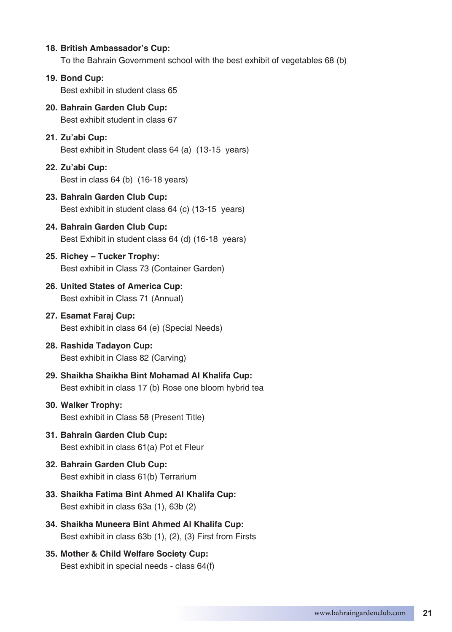#### **18. British Ambassador's Cup:**

To the Bahrain Government school with the best exhibit of vegetables 68 (b)

#### **19. Bond Cup:**

Best exhibit in student class 65

# **20. Bahrain Garden Club Cup:**

Best exhibit student in class 67

#### **21. Zu'abi Cup:**

Best exhibit in Student class 64 (a) (13-15 years)

#### **22. Zu'abi Cup:** Best in class 64 (b) (16-18 years)

#### **23. Bahrain Garden Club Cup:** Best exhibit in student class 64 (c) (13-15 years)

#### **24. Bahrain Garden Club Cup:** Best Exhibit in student class 64 (d) (16-18 years)

#### **25. Richey – Tucker Trophy:** Best exhibit in Class 73 (Container Garden)

- **26. United States of America Cup:** Best exhibit in Class 71 (Annual)
- **27. Esamat Faraj Cup:** Best exhibit in class 64 (e) (Special Needs)

#### **28. Rashida Tadayon Cup:** Best exhibit in Class 82 (Carving)

**29. Shaikha Shaikha Bint Mohamad Al Khalifa Cup:** Best exhibit in class 17 (b) Rose one bloom hybrid tea

#### **30. Walker Trophy:** Best exhibit in Class 58 (Present Title)

**31. Bahrain Garden Club Cup:** Best exhibit in class 61(a) Pot et Fleur

#### **32. Bahrain Garden Club Cup:** Best exhibit in class 61(b) Terrarium

- **33. Shaikha Fatima Bint Ahmed Al Khalifa Cup:** Best exhibit in class 63a (1), 63b (2)
- **34. Shaikha Muneera Bint Ahmed Al Khalifa Cup:** Best exhibit in class 63b (1), (2), (3) First from Firsts
- **35. Mother & Child Welfare Society Cup:** Best exhibit in special needs - class 64(f)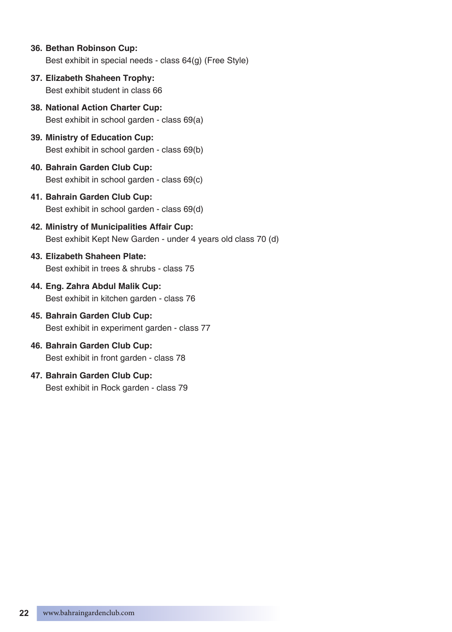- **36. Bethan Robinson Cup:** Best exhibit in special needs - class 64(g) (Free Style)
- **37. Elizabeth Shaheen Trophy:** Best exhibit student in class 66
- **38. National Action Charter Cup:** Best exhibit in school garden - class 69(a)
- **39. Ministry of Education Cup:** Best exhibit in school garden - class 69(b)
- **40. Bahrain Garden Club Cup:**  Best exhibit in school garden - class 69(c)
- **41. Bahrain Garden Club Cup:**  Best exhibit in school garden - class 69(d)
- **42. Ministry of Municipalities Affair Cup:** Best exhibit Kept New Garden - under 4 years old class 70 (d)
- **43. Elizabeth Shaheen Plate:** Best exhibit in trees & shrubs - class 75
- **44. Eng. Zahra Abdul Malik Cup:** Best exhibit in kitchen garden - class 76
- **45. Bahrain Garden Club Cup:** Best exhibit in experiment garden - class 77
- **46. Bahrain Garden Club Cup:** Best exhibit in front garden - class 78
- **47. Bahrain Garden Club Cup:** Best exhibit in Rock garden - class 79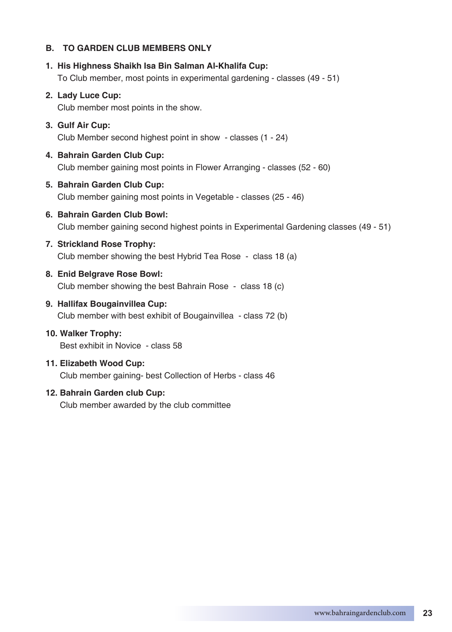#### **B. TO GARDEN CLUB MEMBERS ONLY**

#### **1. His Highness Shaikh Isa Bin Salman Al-Khalifa Cup:**

To Club member, most points in experimental gardening - classes (49 - 51)

#### **2. Lady Luce Cup:**

Club member most points in the show.

#### **3. Gulf Air Cup:** Club Member second highest point in show - classes (1 - 24)

**4. Bahrain Garden Club Cup:** Club member gaining most points in Flower Arranging - classes (52 - 60)

#### **5. Bahrain Garden Club Cup:**

Club member gaining most points in Vegetable - classes (25 - 46)

#### **6. Bahrain Garden Club Bowl:**

Club member gaining second highest points in Experimental Gardening classes (49 - 51)

#### **7. Strickland Rose Trophy:**

Club member showing the best Hybrid Tea Rose - class 18 (a)

#### **8. Enid Belgrave Rose Bowl:** Club member showing the best Bahrain Rose - class 18 (c)

#### **9. Hallifax Bougainvillea Cup:**

Club member with best exhibit of Bougainvillea - class 72 (b)

#### **10. Walker Trophy:** Best exhibit in Novice - class 58

#### **11. Elizabeth Wood Cup:** Club member gaining- best Collection of Herbs - class 46

#### **12. Bahrain Garden club Cup:**

Club member awarded by the club committee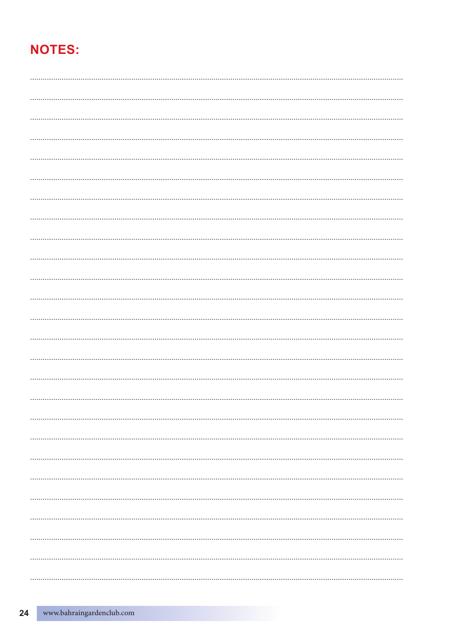# **NOTES:**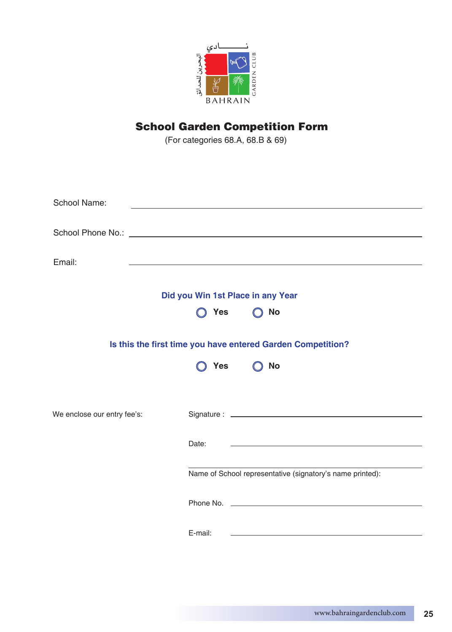

# School Garden Competition Form

(For categories 68.A, 68.B & 69)

| School Name:                |         |                                                                                                                                                                                                                                |
|-----------------------------|---------|--------------------------------------------------------------------------------------------------------------------------------------------------------------------------------------------------------------------------------|
|                             |         | School Phone No.: The contract of the contract of the contract of the contract of the contract of the contract of the contract of the contract of the contract of the contract of the contract of the contract of the contract |
| Email:                      |         |                                                                                                                                                                                                                                |
|                             |         | Did you Win 1st Place in any Year                                                                                                                                                                                              |
|                             | Yes     | No                                                                                                                                                                                                                             |
|                             |         | Is this the first time you have entered Garden Competition?                                                                                                                                                                    |
|                             | Yes     | No                                                                                                                                                                                                                             |
|                             |         |                                                                                                                                                                                                                                |
| We enclose our entry fee's: |         |                                                                                                                                                                                                                                |
|                             | Date:   |                                                                                                                                                                                                                                |
|                             |         | Name of School representative (signatory's name printed):                                                                                                                                                                      |
|                             |         | Phone No. 2008 Committee No. 2008 Committee No. 2008 Committee No. 2008 Committee No. 2008 Committee No. 2008                                                                                                                  |
|                             | E-mail: |                                                                                                                                                                                                                                |